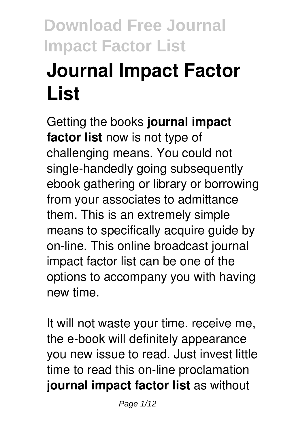# **Journal Impact Factor List**

Getting the books **journal impact factor list** now is not type of challenging means. You could not single-handedly going subsequently ebook gathering or library or borrowing from your associates to admittance them. This is an extremely simple means to specifically acquire guide by on-line. This online broadcast journal impact factor list can be one of the options to accompany you with having new time.

It will not waste your time. receive me, the e-book will definitely appearance you new issue to read. Just invest little time to read this on-line proclamation **journal impact factor list** as without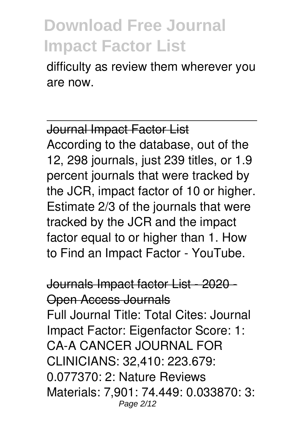difficulty as review them wherever you are now.

Journal Impact Factor List According to the database, out of the 12, 298 journals, just 239 titles, or 1.9 percent journals that were tracked by the JCR, impact factor of 10 or higher. Estimate 2/3 of the journals that were tracked by the JCR and the impact factor equal to or higher than 1. How to Find an Impact Factor - YouTube.

Journals Impact factor List - 2020 - Open Access Journals Full Journal Title: Total Cites: Journal Impact Factor: Eigenfactor Score: 1: CA-A CANCER JOURNAL FOR CLINICIANS: 32,410: 223.679: 0.077370: 2: Nature Reviews Materials: 7,901: 74.449: 0.033870: 3: Page 2/12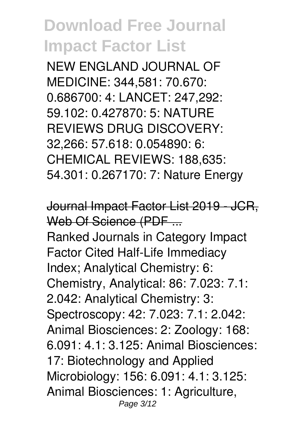NEW ENGLAND JOURNAL OF MEDICINE: 344,581: 70.670: 0.686700: 4: LANCET: 247,292: 59.102: 0.427870: 5: NATURE REVIEWS DRUG DISCOVERY: 32,266: 57.618: 0.054890: 6: CHEMICAL REVIEWS: 188,635: 54.301: 0.267170: 7: Nature Energy

Journal Impact Factor List 2019 - JCR, Web Of Science (PDF ... Ranked Journals in Category Impact Factor Cited Half-Life Immediacy Index; Analytical Chemistry: 6: Chemistry, Analytical: 86: 7.023: 7.1: 2.042: Analytical Chemistry: 3: Spectroscopy: 42: 7.023: 7.1: 2.042: Animal Biosciences: 2: Zoology: 168: 6.091: 4.1: 3.125: Animal Biosciences: 17: Biotechnology and Applied Microbiology: 156: 6.091: 4.1: 3.125: Animal Biosciences: 1: Agriculture, Page 3/12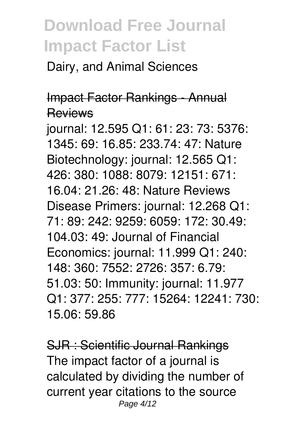Dairy, and Animal Sciences

#### Impact Factor Rankings - Annual **Reviews**

journal: 12.595 Q1: 61: 23: 73: 5376: 1345: 69: 16.85: 233.74: 47: Nature Biotechnology: journal: 12.565 Q1: 426: 380: 1088: 8079: 12151: 671: 16.04: 21.26: 48: Nature Reviews Disease Primers: journal: 12.268 Q1: 71: 89: 242: 9259: 6059: 172: 30.49: 104.03: 49: Journal of Financial Economics: journal: 11.999 Q1: 240: 148: 360: 7552: 2726: 357: 6.79: 51.03: 50: Immunity: journal: 11.977 Q1: 377: 255: 777: 15264: 12241: 730: 15.06: 59.86

SJR : Scientific Journal Rankings The impact factor of a journal is calculated by dividing the number of current year citations to the source Page 4/12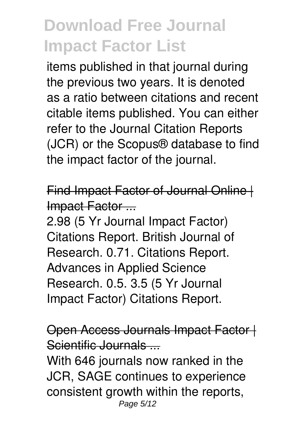items published in that journal during the previous two years. It is denoted as a ratio between citations and recent citable items published. You can either refer to the Journal Citation Reports (JCR) or the Scopus® database to find the impact factor of the journal.

Find Impact Factor of Journal Online | Impact Factor ...

2.98 (5 Yr Journal Impact Factor) Citations Report. British Journal of Research. 0.71. Citations Report. Advances in Applied Science Research. 0.5. 3.5 (5 Yr Journal Impact Factor) Citations Report.

Open Access Journals Impact Factor | Scientific Journals ...

With 646 journals now ranked in the JCR, SAGE continues to experience consistent growth within the reports, Page 5/12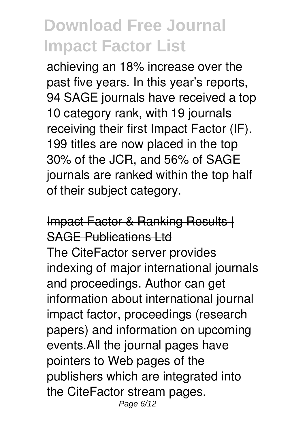achieving an 18% increase over the past five years. In this year's reports, 94 SAGE journals have received a top 10 category rank, with 19 journals receiving their first Impact Factor (IF). 199 titles are now placed in the top 30% of the JCR, and 56% of SAGE journals are ranked within the top half of their subject category.

#### Impact Factor & Ranking Results | SAGE Publications Ltd The CiteFactor server provides indexing of major international journals and proceedings. Author can get information about international journal impact factor, proceedings (research papers) and information on upcoming events.All the journal pages have pointers to Web pages of the publishers which are integrated into the CiteFactor stream pages. Page 6/12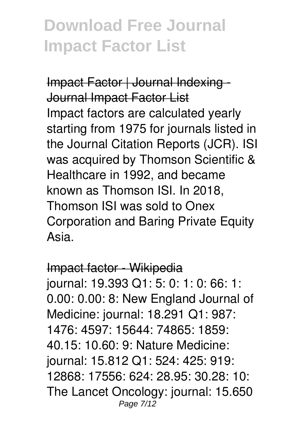Impact Factor | Journal Indexing - Journal Impact Factor List Impact factors are calculated yearly starting from 1975 for journals listed in the Journal Citation Reports (JCR). ISI was acquired by Thomson Scientific & Healthcare in 1992, and became known as Thomson ISI. In 2018, Thomson ISI was sold to Onex Corporation and Baring Private Equity Asia.

#### Impact factor - Wikipedia

journal: 19.393 Q1: 5: 0: 1: 0: 66: 1: 0.00: 0.00: 8: New England Journal of Medicine: journal: 18.291 Q1: 987: 1476: 4597: 15644: 74865: 1859: 40.15: 10.60: 9: Nature Medicine: journal: 15.812 Q1: 524: 425: 919: 12868: 17556: 624: 28.95: 30.28: 10: The Lancet Oncology: journal: 15.650 Page 7/12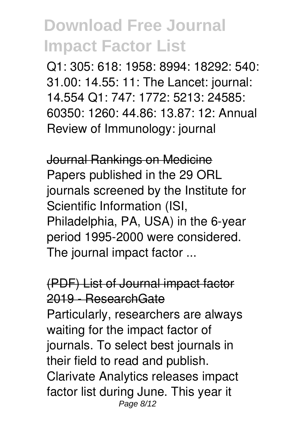Q1: 305: 618: 1958: 8994: 18292: 540: 31.00: 14.55: 11: The Lancet: journal: 14.554 Q1: 747: 1772: 5213: 24585: 60350: 1260: 44.86: 13.87: 12: Annual Review of Immunology: journal

Journal Rankings on Medicine Papers published in the 29 ORL journals screened by the Institute for Scientific Information (ISI, Philadelphia, PA, USA) in the 6-year period 1995-2000 were considered. The journal impact factor ...

(PDF) List of Journal impact factor 2019 - ResearchGate Particularly, researchers are always waiting for the impact factor of journals. To select best journals in their field to read and publish. Clarivate Analytics releases impact factor list during June. This year it Page 8/12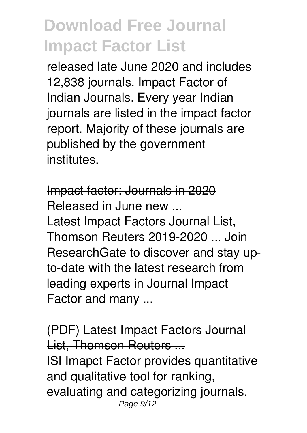released late June 2020 and includes 12,838 journals. Impact Factor of Indian Journals. Every year Indian journals are listed in the impact factor report. Majority of these journals are published by the government institutes.

Impact factor: Journals in 2020 Released in June new ... Latest Impact Factors Journal List, Thomson Reuters 2019-2020 ... Join ResearchGate to discover and stay upto-date with the latest research from leading experts in Journal Impact Factor and many ...

(PDF) Latest Impact Factors Journal List, Thomson Reuters ... ISI Imapct Factor provides quantitative and qualitative tool for ranking, evaluating and categorizing journals. Page  $9/12$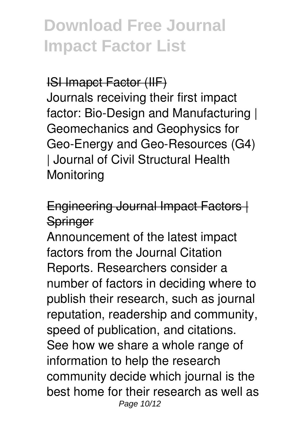#### ISI Imapct Factor (IIF)

Journals receiving their first impact factor: Bio-Design and Manufacturing | Geomechanics and Geophysics for Geo-Energy and Geo-Resources (G4) | Journal of Civil Structural Health **Monitoring** 

Engineering Journal Impact Factors | **Springer** 

Announcement of the latest impact factors from the Journal Citation Reports. Researchers consider a number of factors in deciding where to publish their research, such as journal reputation, readership and community, speed of publication, and citations. See how we share a whole range of information to help the research community decide which journal is the best home for their research as well as Page 10/12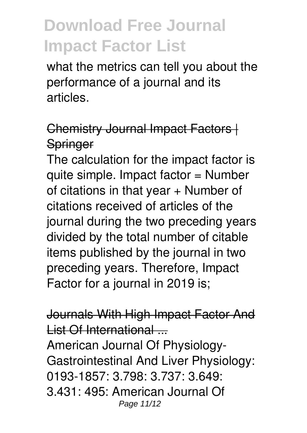what the metrics can tell you about the performance of a journal and its articles.

#### Chemistry Journal Impact Factors | **Springer**

The calculation for the impact factor is quite simple. Impact factor = Number of citations in that year + Number of citations received of articles of the journal during the two preceding years divided by the total number of citable items published by the journal in two preceding years. Therefore, Impact Factor for a journal in 2019 is;

Journals With High Impact Factor And List Of International American Journal Of Physiology-Gastrointestinal And Liver Physiology: 0193-1857: 3.798: 3.737: 3.649: 3.431: 495: American Journal Of Page 11/12